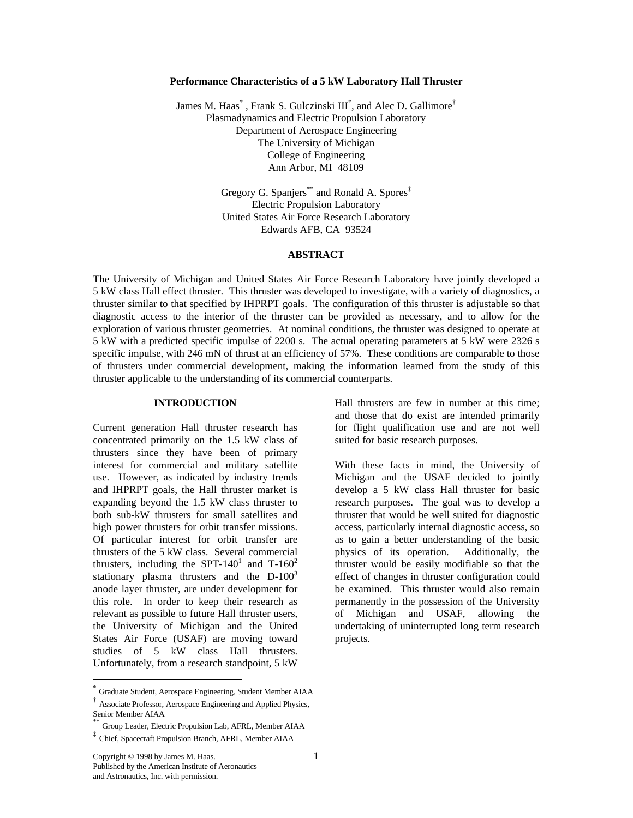#### **Performance Characteristics of a 5 kW Laboratory Hall Thruster**

James M. Haas<sup>\*</sup>, Frank S. Gulczinski  $III^*$ , and Alec D. Gallimore<sup>†</sup> Plasmadynamics and Electric Propulsion Laboratory Department of Aerospace Engineering The University of Michigan College of Engineering Ann Arbor, MI 48109

> Gregory G. Spanjers<sup>\*\*</sup> and Ronald A. Spores<sup>‡</sup> Electric Propulsion Laboratory United States Air Force Research Laboratory Edwards AFB, CA 93524

## **ABSTRACT**

The University of Michigan and United States Air Force Research Laboratory have jointly developed a 5 kW class Hall effect thruster. This thruster was developed to investigate, with a variety of diagnostics, a thruster similar to that specified by IHPRPT goals. The configuration of this thruster is adjustable so that diagnostic access to the interior of the thruster can be provided as necessary, and to allow for the exploration of various thruster geometries. At nominal conditions, the thruster was designed to operate at 5 kW with a predicted specific impulse of 2200 s. The actual operating parameters at 5 kW were 2326 s specific impulse, with 246 mN of thrust at an efficiency of 57%. These conditions are comparable to those of thrusters under commercial development, making the information learned from the study of this thruster applicable to the understanding of its commercial counterparts.

## **INTRODUCTION**

Current generation Hall thruster research has concentrated primarily on the 1.5 kW class of thrusters since they have been of primary interest for commercial and military satellite use. However, as indicated by industry trends and IHPRPT goals, the Hall thruster market is expanding beyond the 1.5 kW class thruster to both sub-kW thrusters for small satellites and high power thrusters for orbit transfer missions. Of particular interest for orbit transfer are thrusters of the 5 kW class. Several commercial thrusters, including the SPT-140<sup>1</sup> and T-160<sup>2</sup> stationary plasma thrusters and the  $D-100^3$ anode layer thruster, are under development for this role. In order to keep their research as relevant as possible to future Hall thruster users, the University of Michigan and the United States Air Force (USAF) are moving toward studies of 5 kW class Hall thrusters. Unfortunately, from a research standpoint, 5 kW

-

Hall thrusters are few in number at this time; and those that do exist are intended primarily for flight qualification use and are not well suited for basic research purposes.

With these facts in mind, the University of Michigan and the USAF decided to jointly develop a 5 kW class Hall thruster for basic research purposes. The goal was to develop a thruster that would be well suited for diagnostic access, particularly internal diagnostic access, so as to gain a better understanding of the basic physics of its operation. Additionally, the thruster would be easily modifiable so that the effect of changes in thruster configuration could be examined. This thruster would also remain permanently in the possession of the University of Michigan and USAF, allowing the undertaking of uninterrupted long term research projects.

<sup>\*</sup> Graduate Student, Aerospace Engineering, Student Member AIAA

<sup>†</sup> Associate Professor, Aerospace Engineering and Applied Physics, Senior Member AIAA

<sup>\*\*</sup> Group Leader, Electric Propulsion Lab, AFRL, Member AIAA

<sup>‡</sup> Chief, Spacecraft Propulsion Branch, AFRL, Member AIAA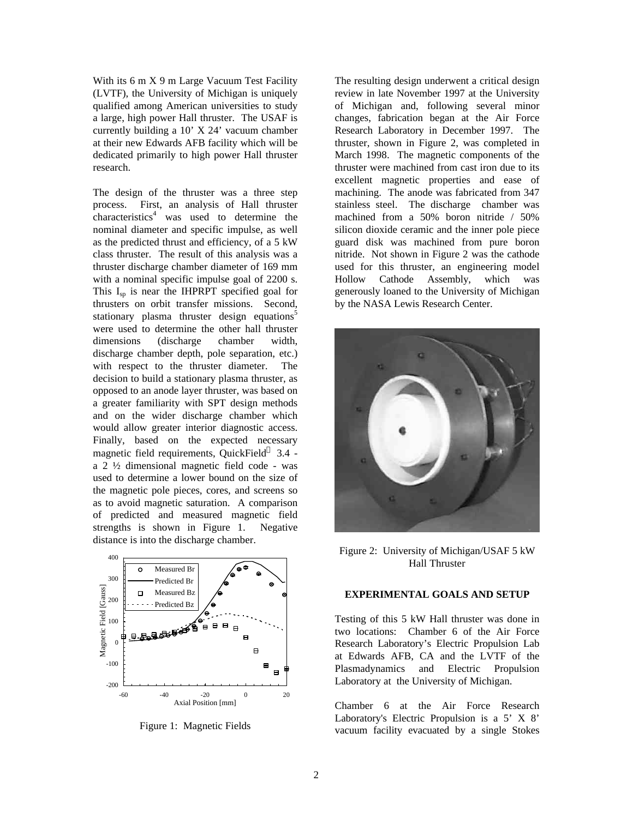With its 6 m X 9 m Large Vacuum Test Facility (LVTF), the University of Michigan is uniquely qualified among American universities to study a large, high power Hall thruster. The USAF is currently building a 10' X 24' vacuum chamber at their new Edwards AFB facility which will be dedicated primarily to high power Hall thruster research.

The design of the thruster was a three step process. First, an analysis of Hall thruster  $characteristics<sup>4</sup>$  was used to determine the nominal diameter and specific impulse, as well as the predicted thrust and efficiency, of a 5 kW class thruster. The result of this analysis was a thruster discharge chamber diameter of 169 mm with a nominal specific impulse goal of 2200 s. This  $I_{sp}$  is near the IHPRPT specified goal for thrusters on orbit transfer missions. Second, stationary plasma thruster design equations<sup>5</sup> were used to determine the other hall thruster dimensions (discharge chamber width, discharge chamber depth, pole separation, etc.) with respect to the thruster diameter. The decision to build a stationary plasma thruster, as opposed to an anode layer thruster, was based on a greater familiarity with SPT design methods and on the wider discharge chamber which would allow greater interior diagnostic access. Finally, based on the expected necessary magnetic field requirements, QuickField™ 3.4 a 2 ½ dimensional magnetic field code - was used to determine a lower bound on the size of the magnetic pole pieces, cores, and screens so as to avoid magnetic saturation. A comparison of predicted and measured magnetic field strengths is shown in Figure 1. Negative distance is into the discharge chamber.



Figure 1: Magnetic Fields

The resulting design underwent a critical design review in late November 1997 at the University of Michigan and, following several minor changes, fabrication began at the Air Force Research Laboratory in December 1997. The thruster, shown in Figure 2, was completed in March 1998. The magnetic components of the thruster were machined from cast iron due to its excellent magnetic properties and ease of machining. The anode was fabricated from 347 stainless steel. The discharge chamber was machined from a 50% boron nitride / 50% silicon dioxide ceramic and the inner pole piece guard disk was machined from pure boron nitride. Not shown in Figure 2 was the cathode used for this thruster, an engineering model Hollow Cathode Assembly, which was generously loaned to the University of Michigan by the NASA Lewis Research Center.



Figure 2: University of Michigan/USAF 5 kW Hall Thruster

#### **EXPERIMENTAL GOALS AND SETUP**

Testing of this 5 kW Hall thruster was done in two locations: Chamber 6 of the Air Force Research Laboratory's Electric Propulsion Lab at Edwards AFB, CA and the LVTF of the Plasmadynamics and Electric Propulsion Laboratory at the University of Michigan.

Chamber 6 at the Air Force Research Laboratory's Electric Propulsion is a 5' X 8' vacuum facility evacuated by a single Stokes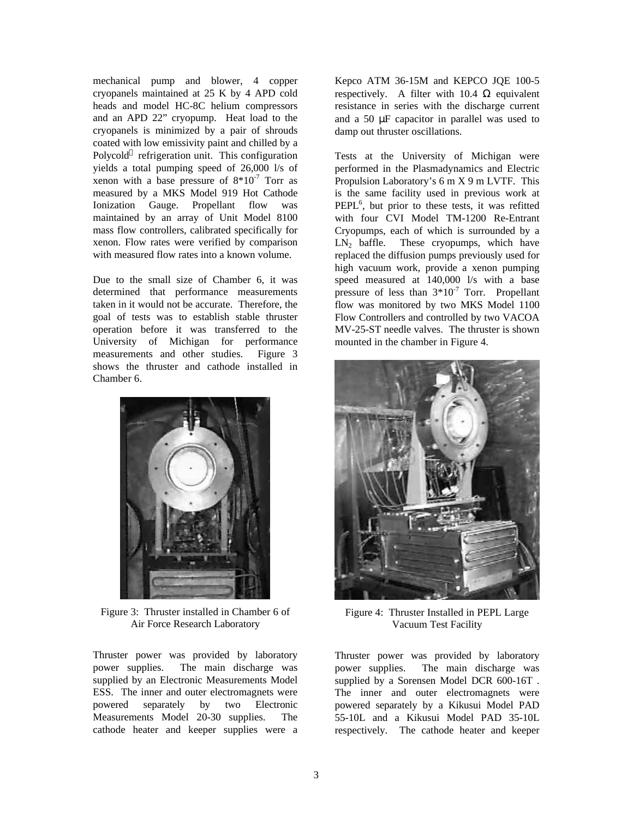mechanical pump and blower, 4 copper cryopanels maintained at 25 K by 4 APD cold heads and model HC-8C helium compressors and an APD 22" cryopump. Heat load to the cryopanels is minimized by a pair of shrouds coated with low emissivity paint and chilled by a Polycold<sup>™</sup> refrigeration unit. This configuration yields a total pumping speed of 26,000 l/s of xenon with a base pressure of  $8*10^{-7}$  Torr as measured by a MKS Model 919 Hot Cathode Ionization Gauge. Propellant flow was maintained by an array of Unit Model 8100 mass flow controllers, calibrated specifically for xenon. Flow rates were verified by comparison with measured flow rates into a known volume.

Due to the small size of Chamber 6, it was determined that performance measurements taken in it would not be accurate. Therefore, the goal of tests was to establish stable thruster operation before it was transferred to the University of Michigan for performance measurements and other studies. Figure 3 shows the thruster and cathode installed in Chamber 6.



Figure 3: Thruster installed in Chamber 6 of Air Force Research Laboratory

Thruster power was provided by laboratory power supplies. The main discharge was supplied by an Electronic Measurements Model ESS. The inner and outer electromagnets were powered separately by two Electronic Measurements Model 20-30 supplies. The cathode heater and keeper supplies were a Kepco ATM 36-15M and KEPCO JQE 100-5 respectively. A filter with 10.4  $\Omega$  equivalent resistance in series with the discharge current and a 50 μF capacitor in parallel was used to damp out thruster oscillations.

Tests at the University of Michigan were performed in the Plasmadynamics and Electric Propulsion Laboratory's 6 m X 9 m LVTF. This is the same facility used in previous work at PEPL<sup>6</sup>, but prior to these tests, it was refitted with four CVI Model TM-1200 Re-Entrant Cryopumps, each of which is surrounded by a  $LN<sub>2</sub>$  baffle. These cryopumps, which have replaced the diffusion pumps previously used for high vacuum work, provide a xenon pumping speed measured at 140,000 l/s with a base pressure of less than  $3*10^{-7}$  Torr. Propellant flow was monitored by two MKS Model 1100 Flow Controllers and controlled by two VACOA MV-25-ST needle valves. The thruster is shown mounted in the chamber in Figure 4.



Figure 4: Thruster Installed in PEPL Large Vacuum Test Facility

Thruster power was provided by laboratory power supplies. The main discharge was supplied by a Sorensen Model DCR 600-16T . The inner and outer electromagnets were powered separately by a Kikusui Model PAD 55-10L and a Kikusui Model PAD 35-10L respectively. The cathode heater and keeper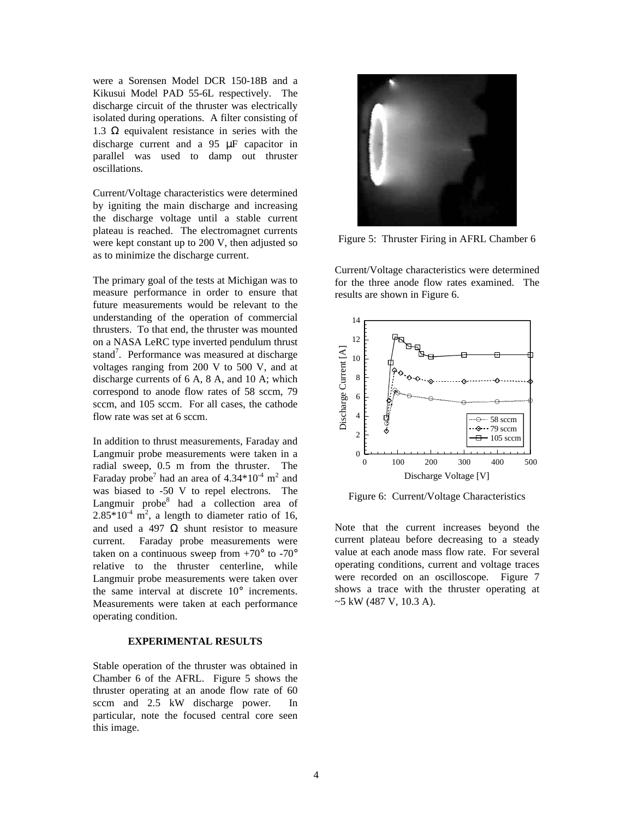were a Sorensen Model DCR 150-18B and a Kikusui Model PAD 55-6L respectively. The discharge circuit of the thruster was electrically isolated during operations. A filter consisting of 1.3 Ω equivalent resistance in series with the discharge current and a 95 μF capacitor in parallel was used to damp out thruster oscillations.

Current/Voltage characteristics were determined by igniting the main discharge and increasing the discharge voltage until a stable current plateau is reached. The electromagnet currents were kept constant up to 200 V, then adjusted so as to minimize the discharge current.

The primary goal of the tests at Michigan was to measure performance in order to ensure that future measurements would be relevant to the understanding of the operation of commercial thrusters. To that end, the thruster was mounted on a NASA LeRC type inverted pendulum thrust stand<sup>7</sup>. Performance was measured at discharge voltages ranging from 200 V to 500 V, and at discharge currents of 6 A, 8 A, and 10 A; which correspond to anode flow rates of 58 sccm, 79 sccm, and 105 sccm. For all cases, the cathode flow rate was set at 6 sccm.

In addition to thrust measurements, Faraday and Langmuir probe measurements were taken in a radial sweep, 0.5 m from the thruster. The Faraday probe<sup>7</sup> had an area of  $4.34*10^{-4}$  m<sup>2</sup> and was biased to -50 V to repel electrons. The Langmuir probe<sup>8</sup> had a collection area of  $2.85*10<sup>-4</sup>$  m<sup>2</sup>, a length to diameter ratio of 16, and used a 497  $\Omega$  shunt resistor to measure current. Faraday probe measurements were taken on a continuous sweep from  $+70^{\circ}$  to  $-70^{\circ}$ relative to the thruster centerline, while Langmuir probe measurements were taken over the same interval at discrete 10° increments. Measurements were taken at each performance operating condition.

# **EXPERIMENTAL RESULTS**

Stable operation of the thruster was obtained in Chamber 6 of the AFRL. Figure 5 shows the thruster operating at an anode flow rate of 60 sccm and 2.5 kW discharge power. In particular, note the focused central core seen this image.



Figure 5: Thruster Firing in AFRL Chamber 6

Current/Voltage characteristics were determined for the three anode flow rates examined. The results are shown in Figure 6.



Figure 6: Current/Voltage Characteristics

Note that the current increases beyond the current plateau before decreasing to a steady value at each anode mass flow rate. For several operating conditions, current and voltage traces were recorded on an oscilloscope. Figure 7 shows a trace with the thruster operating at ~5 kW (487 V, 10.3 A).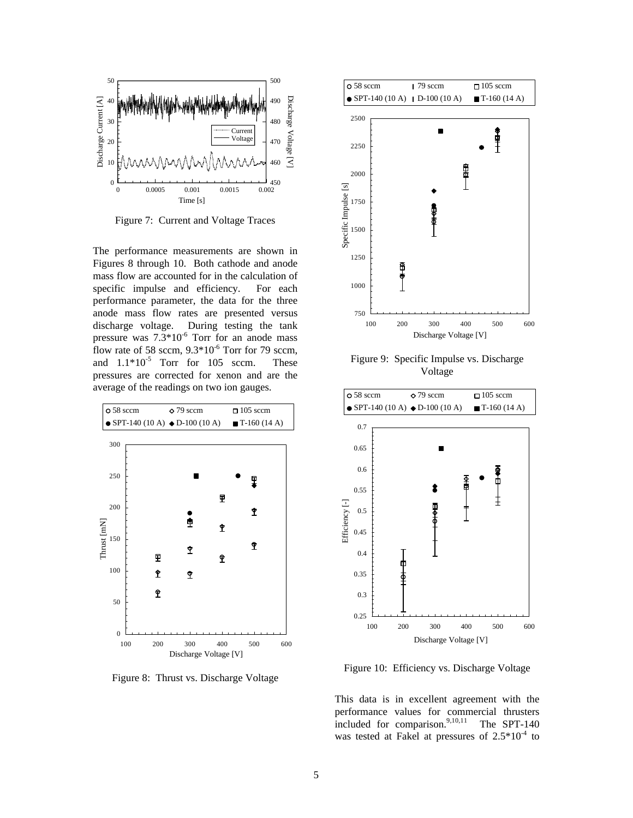

Figure 7: Current and Voltage Traces

The performance measurements are shown in Figures 8 through 10. Both cathode and anode mass flow are accounted for in the calculation of specific impulse and efficiency. For each performance parameter, the data for the three anode mass flow rates are presented versus discharge voltage. During testing the tank pressure was  $7.3*10^{-6}$  Torr for an anode mass flow rate of 58 sccm,  $9.3*10^{-6}$  Torr for 79 sccm, and  $1.1*10^{-5}$  Torr for 105 sccm. These pressures are corrected for xenon and are the average of the readings on two ion gauges.



Figure 8: Thrust vs. Discharge Voltage



Figure 9: Specific Impulse vs. Discharge Voltage



Figure 10: Efficiency vs. Discharge Voltage

This data is in excellent agreement with the performance values for commercial thrusters included for comparison. $9,10,11$  The SPT-140 was tested at Fakel at pressures of  $2.5*10^{-4}$  to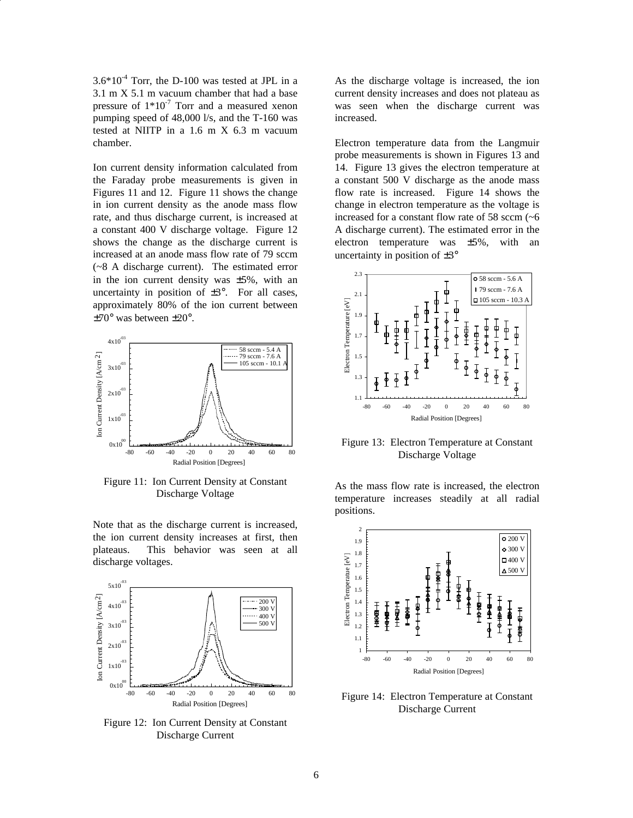$3.6*10<sup>-4</sup>$  Torr, the D-100 was tested at JPL in a 3.1 m X 5.1 m vacuum chamber that had a base pressure of  $1*10^{-7}$  Torr and a measured xenon pumping speed of 48,000 l/s, and the T-160 was tested at NIITP in a 1.6 m X 6.3 m vacuum chamber.

Ion current density information calculated from the Faraday probe measurements is given in Figures 11 and 12. Figure 11 shows the change in ion current density as the anode mass flow rate, and thus discharge current, is increased at a constant 400 V discharge voltage. Figure 12 shows the change as the discharge current is increased at an anode mass flow rate of 79 sccm (~8 A discharge current). The estimated error in the ion current density was  $\pm 5\%$ , with an uncertainty in position of  $\pm 3^{\circ}$ . For all cases, approximately 80% of the ion current between ±70° was between ±20°.



Figure 11: Ion Current Density at Constant Discharge Voltage

Note that as the discharge current is increased, the ion current density increases at first, then plateaus. This behavior was seen at all discharge voltages.



Figure 12: Ion Current Density at Constant Discharge Current

As the discharge voltage is increased, the ion current density increases and does not plateau as was seen when the discharge current was increased.

Electron temperature data from the Langmuir probe measurements is shown in Figures 13 and 14. Figure 13 gives the electron temperature at a constant 500 V discharge as the anode mass flow rate is increased. Figure 14 shows the change in electron temperature as the voltage is increased for a constant flow rate of 58 sccm  $(-6)$ A discharge current). The estimated error in the electron temperature was  $\pm 5\%$ , with an uncertainty in position of  $\pm 3^{\circ}$ 



Figure 13: Electron Temperature at Constant Discharge Voltage

As the mass flow rate is increased, the electron temperature increases steadily at all radial positions.



Figure 14: Electron Temperature at Constant Discharge Current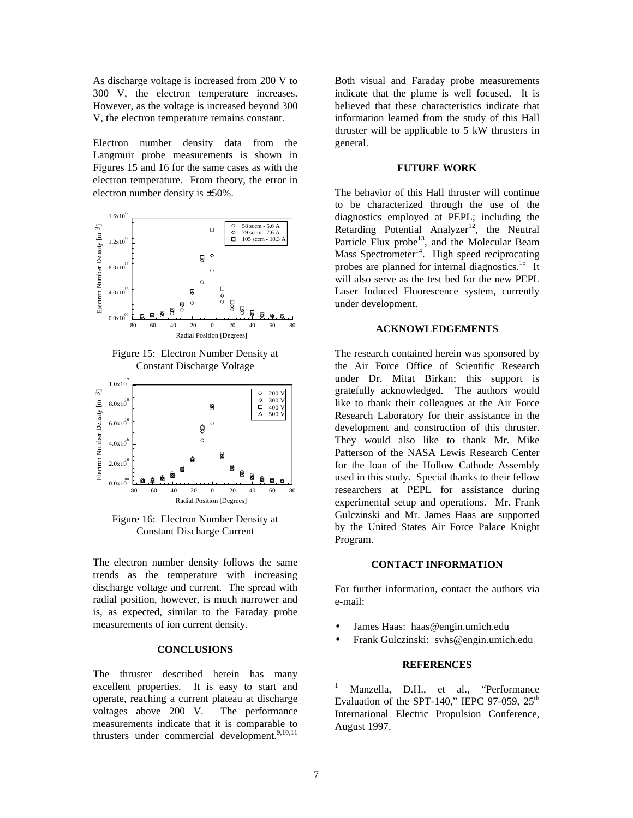As discharge voltage is increased from 200 V to 300 V, the electron temperature increases. However, as the voltage is increased beyond 300 V, the electron temperature remains constant.

Electron number density data from the Langmuir probe measurements is shown in Figures 15 and 16 for the same cases as with the electron temperature. From theory, the error in electron number density is ±50%.



Figure 15: Electron Number Density at Constant Discharge Voltage



Figure 16: Electron Number Density at Constant Discharge Current

The electron number density follows the same trends as the temperature with increasing discharge voltage and current. The spread with radial position, however, is much narrower and is, as expected, similar to the Faraday probe measurements of ion current density.

## **CONCLUSIONS**

The thruster described herein has many excellent properties. It is easy to start and operate, reaching a current plateau at discharge voltages above 200 V. The performance measurements indicate that it is comparable to thrusters under commercial development.<sup>9,10,11</sup>

Both visual and Faraday probe measurements indicate that the plume is well focused. It is believed that these characteristics indicate that information learned from the study of this Hall thruster will be applicable to 5 kW thrusters in general.

## **FUTURE WORK**

The behavior of this Hall thruster will continue to be characterized through the use of the diagnostics employed at PEPL; including the Retarding Potential Analyzer<sup>12</sup>, the Neutral Particle Flux probe<sup>13</sup>, and the Molecular Beam Mass Spectrometer $14$ . High speed reciprocating probes are planned for internal diagnostics.<sup>15</sup> It will also serve as the test bed for the new PEPL Laser Induced Fluorescence system, currently under development.

### **ACKNOWLEDGEMENTS**

The research contained herein was sponsored by the Air Force Office of Scientific Research under Dr. Mitat Birkan; this support is gratefully acknowledged. The authors would like to thank their colleagues at the Air Force Research Laboratory for their assistance in the development and construction of this thruster. They would also like to thank Mr. Mike Patterson of the NASA Lewis Research Center for the loan of the Hollow Cathode Assembly used in this study. Special thanks to their fellow researchers at PEPL for assistance during experimental setup and operations. Mr. Frank Gulczinski and Mr. James Haas are supported by the United States Air Force Palace Knight Program.

#### **CONTACT INFORMATION**

For further information, contact the authors via e-mail:

- James Haas: haas@engin.umich.edu
- Frank Gulczinski: svhs@engin.umich.edu

#### **REFERENCES**

1 Manzella, D.H., et al., "Performance Evaluation of the SPT-140," IEPC 97-059,  $25<sup>th</sup>$ International Electric Propulsion Conference, August 1997.